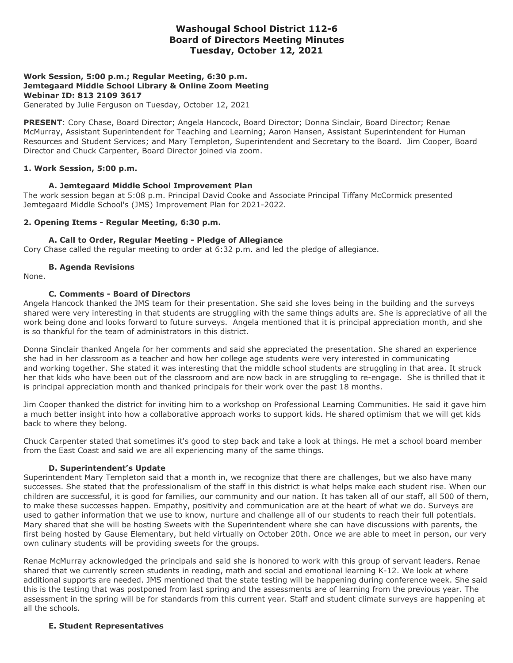# **Washougal School District 112-6 Board of Directors Meeting Minutes Tuesday, October 12, 2021**

## **Work Session, 5:00 p.m.; Regular Meeting, 6:30 p.m. Jemtegaard Middle School Library & Online Zoom Meeting Webinar ID: 813 2109 3617**

Generated by Julie Ferguson on Tuesday, October 12, 2021

**PRESENT**: Cory Chase, Board Director; Angela Hancock, Board Director; Donna Sinclair, Board Director; Renae McMurray, Assistant Superintendent for Teaching and Learning; Aaron Hansen, Assistant Superintendent for Human Resources and Student Services; and Mary Templeton, Superintendent and Secretary to the Board. Jim Cooper, Board Director and Chuck Carpenter, Board Director joined via zoom.

## **1. Work Session, 5:00 p.m.**

#### **A. Jemtegaard Middle School Improvement Plan**

The work session began at 5:08 p.m. Principal David Cooke and Associate Principal Tiffany McCormick presented Jemtegaard Middle School's (JMS) Improvement Plan for 2021-2022.

#### **2. Opening Items - Regular Meeting, 6:30 p.m.**

#### **A. Call to Order, Regular Meeting - Pledge of Allegiance**

Cory Chase called the regular meeting to order at 6:32 p.m. and led the pledge of allegiance.

#### **B. Agenda Revisions**

None.

## **C. Comments - Board of Directors**

Angela Hancock thanked the JMS team for their presentation. She said she loves being in the building and the surveys shared were very interesting in that students are struggling with the same things adults are. She is appreciative of all the work being done and looks forward to future surveys. Angela mentioned that it is principal appreciation month, and she is so thankful for the team of administrators in this district.

Donna Sinclair thanked Angela for her comments and said she appreciated the presentation. She shared an experience she had in her classroom as a teacher and how her college age students were very interested in communicating and working together. She stated it was interesting that the middle school students are struggling in that area. It struck her that kids who have been out of the classroom and are now back in are struggling to re-engage. She is thrilled that it is principal appreciation month and thanked principals for their work over the past 18 months.

Jim Cooper thanked the district for inviting him to a workshop on Professional Learning Communities. He said it gave him a much better insight into how a collaborative approach works to support kids. He shared optimism that we will get kids back to where they belong.

Chuck Carpenter stated that sometimes it's good to step back and take a look at things. He met a school board member from the East Coast and said we are all experiencing many of the same things.

#### **D. Superintendent's Update**

Superintendent Mary Templeton said that a month in, we recognize that there are challenges, but we also have many successes. She stated that the professionalism of the staff in this district is what helps make each student rise. When our children are successful, it is good for families, our community and our nation. It has taken all of our staff, all 500 of them, to make these successes happen. Empathy, positivity and communication are at the heart of what we do. Surveys are used to gather information that we use to know, nurture and challenge all of our students to reach their full potentials. Mary shared that she will be hosting Sweets with the Superintendent where she can have discussions with parents, the first being hosted by Gause Elementary, but held virtually on October 20th. Once we are able to meet in person, our very own culinary students will be providing sweets for the groups.

Renae McMurray acknowledged the principals and said she is honored to work with this group of servant leaders. Renae shared that we currently screen students in reading, math and social and emotional learning K-12. We look at where additional supports are needed. JMS mentioned that the state testing will be happening during conference week. She said this is the testing that was postponed from last spring and the assessments are of learning from the previous year. The assessment in the spring will be for standards from this current year. Staff and student climate surveys are happening at all the schools.

#### **E. Student Representatives**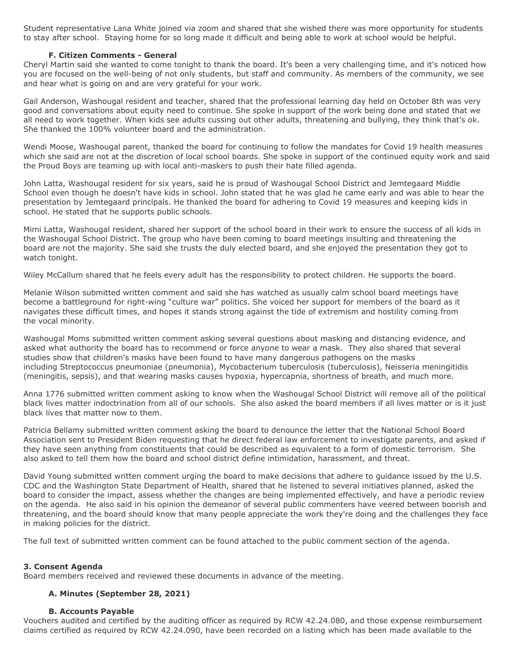Student representative Lana White joined via zoom and shared that she wished there was more opportunity for students to stay after school. Staying home for so long made it difficult and being able to work at school would be helpful.

#### **F. Citizen Comments - General**

Cheryl Martin said she wanted to come tonight to thank the board. It's been a very challenging time, and it's noticed how you are focused on the well-being of not only students, but staff and community. As members of the community, we see and hear what is going on and are very grateful for your work.

Gail Anderson, Washougal resident and teacher, shared that the professional learning day held on October 8th was very good and conversations about equity need to continue. She spoke in support of the work being done and stated that we all need to work together. When kids see adults cussing out other adults, threatening and bullying, they think that's ok. She thanked the 100% volunteer board and the administration.

Wendi Moose, Washougal parent, thanked the board for continuing to follow the mandates for Covid 19 health measures which she said are not at the discretion of local school boards. She spoke in support of the continued equity work and said the Proud Boys are teaming up with local anti-maskers to push their hate filled agenda.

John Latta, Washougal resident for six years, said he is proud of Washougal School District and Jemtegaard Middle School even though he doesn't have kids in school. John stated that he was glad he came early and was able to hear the presentation by Jemtegaard principals. He thanked the board for adhering to Covid 19 measures and keeping kids in school. He stated that he supports public schools.

Mimi Latta, Washougal resident, shared her support of the school board in their work to ensure the success of all kids in the Washougal School District. The group who have been coming to board meetings insulting and threatening the board are not the majority. She said she trusts the duly elected board, and she enjoyed the presentation they got to watch tonight.

Wiley McCallum shared that he feels every adult has the responsibility to protect children. He supports the board.

Melanie Wilson submitted written comment and said she has watched as usually calm school board meetings have become a battleground for right-wing "culture war" politics. She voiced her support for members of the board as it navigates these difficult times, and hopes it stands strong against the tide of extremism and hostility coming from the vocal minority.

Washougal Moms submitted written comment asking several questions about masking and distancing evidence, and asked what authority the board has to recommend or force anyone to wear a mask. They also shared that several studies show that children's masks have been found to have many dangerous pathogens on the masks including Streptococcus pneumoniae (pneumonia), Mycobacterium tuberculosis (tuberculosis), Neisseria meningitidis (meningitis, sepsis), and that wearing masks causes hypoxia, hypercapnia, shortness of breath, and much more.

Anna 1776 submitted written comment asking to know when the Washougal School District will remove all of the political black lives matter indoctrination from all of our schools. She also asked the board members if all lives matter or is it just black lives that matter now to them.

Patricia Bellamy submitted written comment asking the board to denounce the letter that the National School Board Association sent to President Biden requesting that he direct federal law enforcement to investigate parents, and asked if they have seen anything from constituents that could be described as equivalent to a form of domestic terrorism. She also asked to tell them how the board and school district define intimidation, harassment, and threat.

David Young submitted written comment urging the board to make decisions that adhere to guidance issued by the U.S. CDC and the Washington State Department of Health, shared that he listened to several initiatives planned, asked the board to consider the impact, assess whether the changes are being implemented effectively, and have a periodic review on the agenda. He also said in his opinion the demeanor of several public commenters have veered between boorish and threatening, and the board should know that many people appreciate the work they're doing and the challenges they face in making policies for the district.

The full text of submitted written comment can be found attached to the public comment section of the agenda.

## **3. Consent Agenda**

Board members received and reviewed these documents in advance of the meeting.

## **A. Minutes (September 28, 2021)**

## **B. Accounts Payable**

Vouchers audited and certified by the auditing officer as required by RCW 42.24.080, and those expense reimbursement claims certified as required by RCW 42.24.090, have been recorded on a listing which has been made available to the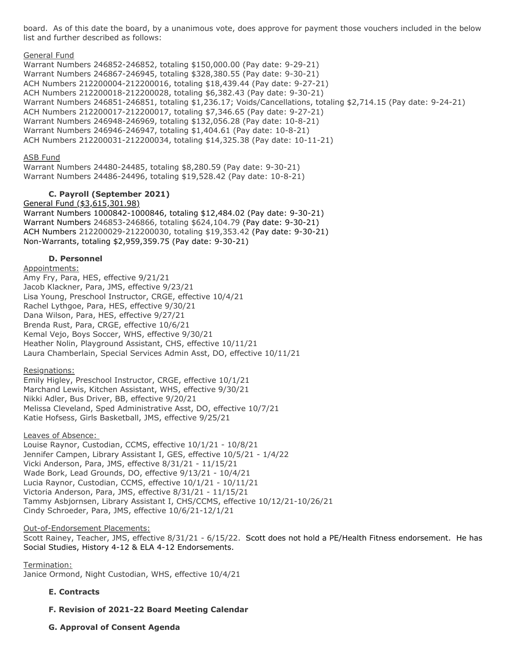board. As of this date the board, by a unanimous vote, does approve for payment those vouchers included in the below list and further described as follows:

#### General Fund

Warrant Numbers 246852-246852, totaling \$150,000.00 (Pay date: 9-29-21) Warrant Numbers 246867-246945, totaling \$328,380.55 (Pay date: 9-30-21) ACH Numbers 212200004-212200016, totaling \$18,439.44 (Pay date: 9-27-21) ACH Numbers 212200018-212200028, totaling \$6,382.43 (Pay date: 9-30-21) Warrant Numbers 246851-246851, totaling \$1,236.17; Voids/Cancellations, totaling \$2,714.15 (Pay date: 9-24-21) ACH Numbers 212200017-212200017, totaling \$7,346.65 (Pay date: 9-27-21) Warrant Numbers 246948-246969, totaling \$132,056.28 (Pay date: 10-8-21) Warrant Numbers 246946-246947, totaling \$1,404.61 (Pay date: 10-8-21) ACH Numbers 212200031-212200034, totaling \$14,325.38 (Pay date: 10-11-21)

#### ASB Fund

Warrant Numbers 24480-24485, totaling \$8,280.59 (Pay date: 9-30-21) Warrant Numbers 24486-24496, totaling \$19,528.42 (Pay date: 10-8-21)

## **C. Payroll (September 2021)**

General Fund (\$3,615,301.98) Warrant Numbers 1000842-1000846, totaling \$12,484.02 (Pay date: 9-30-21) Warrant Numbers 246853-246866, totaling \$624,104.79 (Pay date: 9-30-21) ACH Numbers 212200029-212200030, totaling \$19,353.42 (Pay date: 9-30-21) Non-Warrants, totaling \$2,959,359.75 (Pay date: 9-30-21)

#### **D. Personnel**

Appointments: Amy Fry, Para, HES, effective 9/21/21 Jacob Klackner, Para, JMS, effective 9/23/21 Lisa Young, Preschool Instructor, CRGE, effective 10/4/21 Rachel Lythgoe, Para, HES, effective 9/30/21 Dana Wilson, Para, HES, effective 9/27/21 Brenda Rust, Para, CRGE, effective 10/6/21 Kemal Vejo, Boys Soccer, WHS, effective 9/30/21 Heather Nolin, Playground Assistant, CHS, effective 10/11/21 Laura Chamberlain, Special Services Admin Asst, DO, effective 10/11/21

## Resignations:

Emily Higley, Preschool Instructor, CRGE, effective 10/1/21 Marchand Lewis, Kitchen Assistant, WHS, effective 9/30/21 Nikki Adler, Bus Driver, BB, effective 9/20/21 Melissa Cleveland, Sped Administrative Asst, DO, effective 10/7/21 Katie Hofsess, Girls Basketball, JMS, effective 9/25/21

## Leaves of Absence:

Louise Raynor, Custodian, CCMS, effective 10/1/21 - 10/8/21 Jennifer Campen, Library Assistant I, GES, effective 10/5/21 - 1/4/22 Vicki Anderson, Para, JMS, effective 8/31/21 - 11/15/21 Wade Bork, Lead Grounds, DO, effective 9/13/21 - 10/4/21 Lucia Raynor, Custodian, CCMS, effective 10/1/21 - 10/11/21 Victoria Anderson, Para, JMS, effective 8/31/21 - 11/15/21 Tammy Asbjornsen, Library Assistant I, CHS/CCMS, effective 10/12/21-10/26/21 Cindy Schroeder, Para, JMS, effective 10/6/21-12/1/21

#### Out-of-Endorsement Placements:

Scott Rainey, Teacher, JMS, effective 8/31/21 - 6/15/22. Scott does not hold a PE/Health Fitness endorsement. He has Social Studies, History 4-12 & ELA 4-12 Endorsements.

Termination: Janice Ormond, Night Custodian, WHS, effective 10/4/21

## **E. Contracts**

- **F. Revision of 2021-22 Board Meeting Calendar**
- **G. Approval of Consent Agenda**